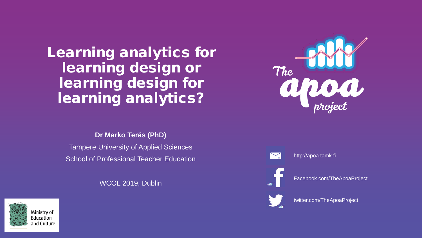### Learning analytics for learning design or learning design for learning analytics?

**Dr Marko Teräs (PhD)**

Tampere University of Applied Sciences School of Professional Teacher Education

WCOL 2019, Dublin







http://apoa.tamk.fi

Facebook.com/TheApoaProject



twitter.com/TheApoaProject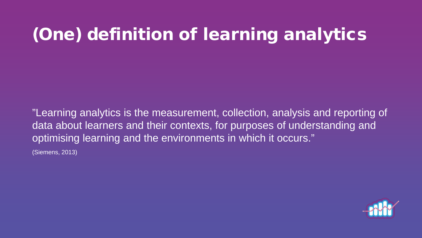## (One) definition of learning analytics

"Learning analytics is the measurement, collection, analysis and reporting of data about learners and their contexts, for purposes of understanding and optimising learning and the environments in which it occurs." (Siemens, 2013)

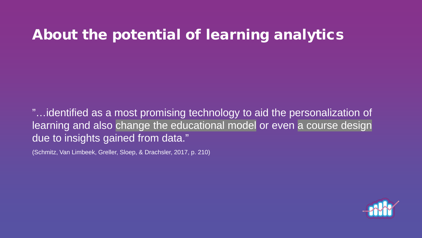## About the potential of learning analytics

"…identified as a most promising technology to aid the personalization of learning and also change the educational model or even a course design due to insights gained from data."

(Schmitz, Van Limbeek, Greller, Sloep, & Drachsler, 2017, p. 210)

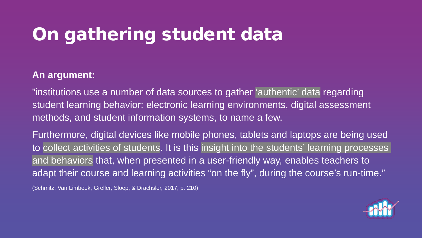## On gathering student data

#### **An argument:**

"institutions use a number of data sources to gather 'authentic' data regarding student learning behavior: electronic learning environments, digital assessment methods, and student information systems, to name a few.

Furthermore, digital devices like mobile phones, tablets and laptops are being used to collect activities of students. It is this insight into the students' learning processes and behaviors that, when presented in a user-friendly way, enables teachers to adapt their course and learning activities "on the fly", during the course's run-time."

(Schmitz, Van Limbeek, Greller, Sloep, & Drachsler, 2017, p. 210)

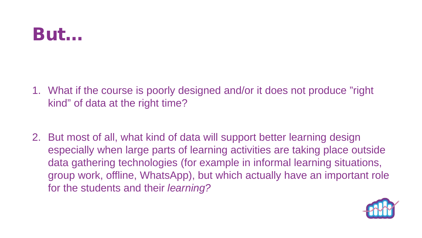## But…

- 1. What if the course is poorly designed and/or it does not produce "right kind" of data at the right time?
- 2. But most of all, what kind of data will support better learning design especially when large parts of learning activities are taking place outside data gathering technologies (for example in informal learning situations, group work, offline, WhatsApp), but which actually have an important role for the students and their *learning?*

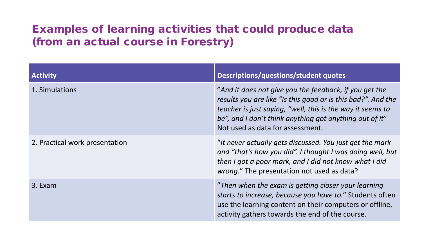#### Examples of learning activities that could produce data (from an actual course in Forestry)

| <b>Activity</b>                | Descriptions/questions/student quotes                                                                                                                                                                                                                                               |
|--------------------------------|-------------------------------------------------------------------------------------------------------------------------------------------------------------------------------------------------------------------------------------------------------------------------------------|
| 1. Simulations                 | "And it does not give you the feedback, if you get the<br>results you are like "Is this good or is this bad?". And the<br>teacher is just saying, "well, this is the way it seems to<br>be", and I don't think anything got anything out of it"<br>Not used as data for assessment. |
| 2. Practical work presentation | "It never actually gets discussed. You just get the mark<br>and "that's how you did". I thought I was doing well, but<br>then I got a poor mark, and I did not know what I did<br>wrong." The presentation not used as data?                                                        |
| 3. Exam                        | "Then when the exam is getting closer your learning<br>starts to increase, because you have to." Students often<br>use the learning content on their computers or offline,<br>activity gathers towards the end of the course.                                                       |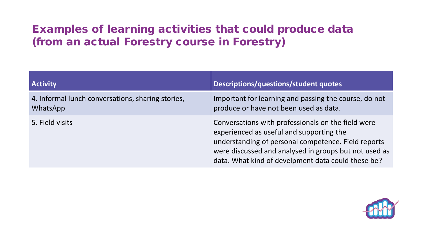#### Examples of learning activities that could produce data (from an actual Forestry course in Forestry)

| <b>Activity</b>                                               | Descriptions/questions/student quotes                                                                                                                                                                                                                                |
|---------------------------------------------------------------|----------------------------------------------------------------------------------------------------------------------------------------------------------------------------------------------------------------------------------------------------------------------|
| 4. Informal lunch conversations, sharing stories,<br>WhatsApp | Important for learning and passing the course, do not<br>produce or have not been used as data.                                                                                                                                                                      |
| 5. Field visits                                               | Conversations with professionals on the field were<br>experienced as useful and supporting the<br>understanding of personal competence. Field reports<br>were discussed and analysed in groups but not used as<br>data. What kind of develpment data could these be? |

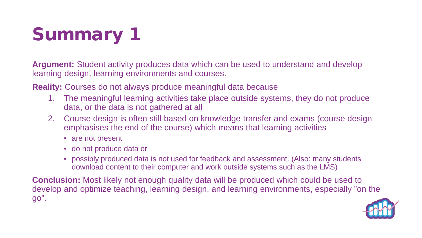# Summary 1

**Argument:** Student activity produces data which can be used to understand and develop learning design, learning environments and courses.

**Reality:** Courses do not always produce meaningful data because

- 1. The meaningful learning activities take place outside systems, they do not produce data, or the data is not gathered at all
- 2. Course design is often still based on knowledge transfer and exams (course design emphasises the end of the course) which means that learning activities
	- are not present
	- do not produce data or
	- possibly produced data is not used for feedback and assessment. (Also: many students download content to their computer and work outside systems such as the LMS)

**Conclusion:** Most likely not enough quality data will be produced which could be used to develop and optimize teaching, learning design, and learning environments, especially "on the go".

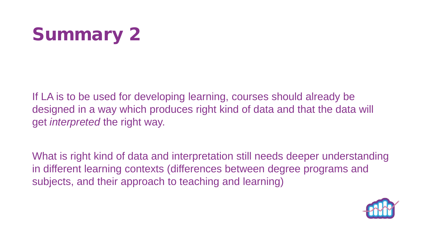

If LA is to be used for developing learning, courses should already be designed in a way which produces right kind of data and that the data will get *interpreted* the right way.

What is right kind of data and interpretation still needs deeper understanding in different learning contexts (differences between degree programs and subjects, and their approach to teaching and learning)

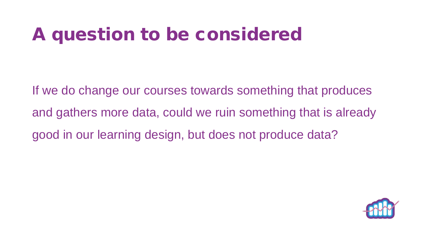## A question to be considered

If we do change our courses towards something that produces and gathers more data, could we ruin something that is already good in our learning design, but does not produce data?

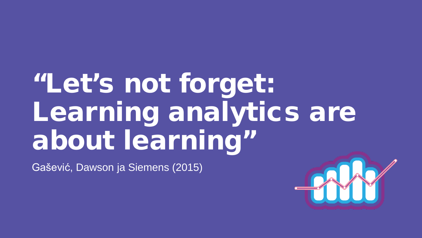# "Let's not forget: Learning analytics are about learning"

Gašević, Dawson ja Siemens (2015)

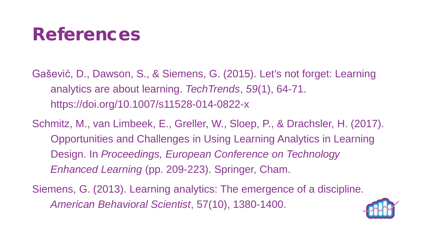## References

Gašević, D., Dawson, S., & Siemens, G. (2015). Let's not forget: Learning analytics are about learning. *TechTrends*, *59*(1), 64-71. https://doi.org/10.1007/s11528-014-0822-x

Schmitz, M., van Limbeek, E., Greller, W., Sloep, P., & Drachsler, H. (2017). Opportunities and Challenges in Using Learning Analytics in Learning Design. In *Proceedings, European Conference on Technology Enhanced Learning* (pp. 209-223). Springer, Cham.

Siemens, G. (2013). Learning analytics: The emergence of a discipline. *American Behavioral Scientist*, 57(10), 1380-1400.